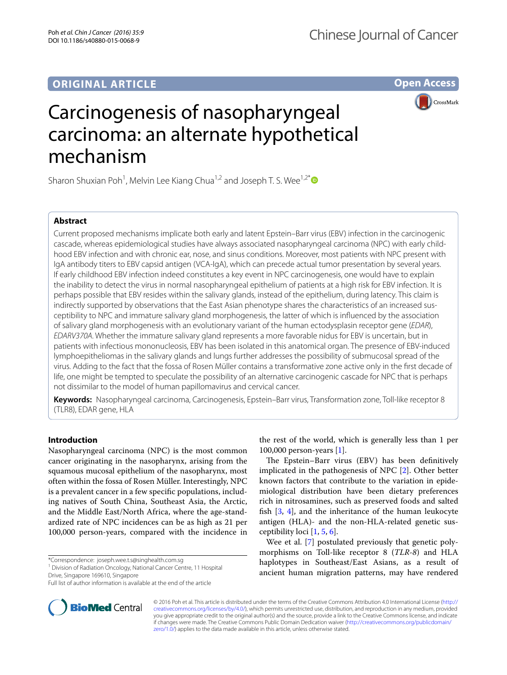# **ORIGINAL ARTICLE**

**Open Access**



# Carcinogenesis of nasopharyngeal carcinoma: an alternate hypothetical mechanism

Sharon Shuxian Poh<sup>1</sup>, Melvin Lee Kiang Chua<sup>1,2</sup> and Joseph T. S. Wee<sup>1,2[\\*](http://orcid.org/0000-0002-7410-6153)</sup>

## **Abstract**

Current proposed mechanisms implicate both early and latent Epstein–Barr virus (EBV) infection in the carcinogenic cascade, whereas epidemiological studies have always associated nasopharyngeal carcinoma (NPC) with early childhood EBV infection and with chronic ear, nose, and sinus conditions. Moreover, most patients with NPC present with IgA antibody titers to EBV capsid antigen (VCA-IgA), which can precede actual tumor presentation by several years. If early childhood EBV infection indeed constitutes a key event in NPC carcinogenesis, one would have to explain the inability to detect the virus in normal nasopharyngeal epithelium of patients at a high risk for EBV infection. It is perhaps possible that EBV resides within the salivary glands, instead of the epithelium, during latency. This claim is indirectly supported by observations that the East Asian phenotype shares the characteristics of an increased susceptibility to NPC and immature salivary gland morphogenesis, the latter of which is influenced by the association of salivary gland morphogenesis with an evolutionary variant of the human ectodysplasin receptor gene (*EDAR*), *EDARV370A*. Whether the immature salivary gland represents a more favorable nidus for EBV is uncertain, but in patients with infectious mononucleosis, EBV has been isolated in this anatomical organ. The presence of EBV-induced lymphoepitheliomas in the salivary glands and lungs further addresses the possibility of submucosal spread of the virus. Adding to the fact that the fossa of Rosen Müller contains a transformative zone active only in the first decade of life, one might be tempted to speculate the possibility of an alternative carcinogenic cascade for NPC that is perhaps not dissimilar to the model of human papillomavirus and cervical cancer.

**Keywords:** Nasopharyngeal carcinoma, Carcinogenesis, Epstein–Barr virus, Transformation zone, Toll-like receptor 8 (TLR8), EDAR gene, HLA

## **Introduction**

Nasopharyngeal carcinoma (NPC) is the most common cancer originating in the nasopharynx, arising from the squamous mucosal epithelium of the nasopharynx, most often within the fossa of Rosen Müller. Interestingly, NPC is a prevalent cancer in a few specific populations, including natives of South China, Southeast Asia, the Arctic, and the Middle East/North Africa, where the age-standardized rate of NPC incidences can be as high as 21 per 100,000 person-years, compared with the incidence in

\*Correspondence: joseph.wee.t.s@singhealth.com.sg

<sup>1</sup> Division of Radiation Oncology, National Cancer Centre, 11 Hospital Drive, Singapore 169610, Singapore



The Epstein–Barr virus (EBV) has been definitively implicated in the pathogenesis of NPC [[2\]](#page-6-1). Other better known factors that contribute to the variation in epidemiological distribution have been dietary preferences rich in nitrosamines, such as preserved foods and salted fish  $[3, 4]$  $[3, 4]$  $[3, 4]$  $[3, 4]$ , and the inheritance of the human leukocyte antigen (HLA)- and the non-HLA-related genetic susceptibility loci [\[1](#page-6-0), [5,](#page-6-4) [6](#page-6-5)].

Wee et al. [\[7](#page-6-6)] postulated previously that genetic polymorphisms on Toll-like receptor 8 (*TLR*-*8*) and HLA haplotypes in Southeast/East Asians, as a result of ancient human migration patterns, may have rendered



© 2016 Poh et al. This article is distributed under the terms of the Creative Commons Attribution 4.0 International License [\(http://](http://creativecommons.org/licenses/by/4.0/) [creativecommons.org/licenses/by/4.0/](http://creativecommons.org/licenses/by/4.0/)), which permits unrestricted use, distribution, and reproduction in any medium, provided you give appropriate credit to the original author(s) and the source, provide a link to the Creative Commons license, and indicate if changes were made. The Creative Commons Public Domain Dedication waiver ([http://creativecommons.org/publicdomain/](http://creativecommons.org/publicdomain/zero/1.0/) [zero/1.0/](http://creativecommons.org/publicdomain/zero/1.0/)) applies to the data made available in this article, unless otherwise stated.

Full list of author information is available at the end of the article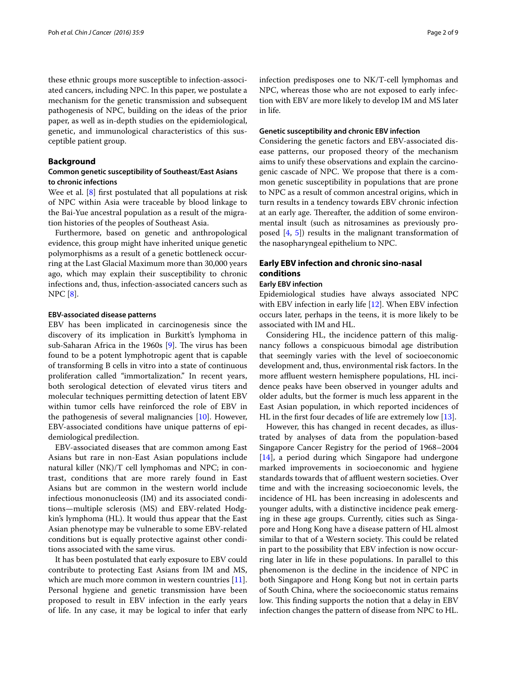these ethnic groups more susceptible to infection-associated cancers, including NPC. In this paper, we postulate a mechanism for the genetic transmission and subsequent pathogenesis of NPC, building on the ideas of the prior paper, as well as in-depth studies on the epidemiological, genetic, and immunological characteristics of this susceptible patient group.

## **Background**

## **Common genetic susceptibility of Southeast/East Asians to chronic infections**

Wee et al. [[8](#page-6-7)] first postulated that all populations at risk of NPC within Asia were traceable by blood linkage to the Bai-Yue ancestral population as a result of the migration histories of the peoples of Southeast Asia.

Furthermore, based on genetic and anthropological evidence, this group might have inherited unique genetic polymorphisms as a result of a genetic bottleneck occurring at the Last Glacial Maximum more than 30,000 years ago, which may explain their susceptibility to chronic infections and, thus, infection-associated cancers such as NPC [\[8](#page-6-7)].

## **EBV‑associated disease patterns**

EBV has been implicated in carcinogenesis since the discovery of its implication in Burkitt's lymphoma in sub-Saharan Africa in the 1960s [\[9](#page-6-8)]. The virus has been found to be a potent lymphotropic agent that is capable of transforming B cells in vitro into a state of continuous proliferation called "immortalization." In recent years, both serological detection of elevated virus titers and molecular techniques permitting detection of latent EBV within tumor cells have reinforced the role of EBV in the pathogenesis of several malignancies [\[10](#page-6-9)]. However, EBV-associated conditions have unique patterns of epidemiological predilection.

EBV-associated diseases that are common among East Asians but rare in non-East Asian populations include natural killer (NK)/T cell lymphomas and NPC; in contrast, conditions that are more rarely found in East Asians but are common in the western world include infectious mononucleosis (IM) and its associated conditions—multiple sclerosis (MS) and EBV-related Hodgkin's lymphoma (HL). It would thus appear that the East Asian phenotype may be vulnerable to some EBV-related conditions but is equally protective against other conditions associated with the same virus.

It has been postulated that early exposure to EBV could contribute to protecting East Asians from IM and MS, which are much more common in western countries [\[11](#page-6-10)]. Personal hygiene and genetic transmission have been proposed to result in EBV infection in the early years of life. In any case, it may be logical to infer that early infection predisposes one to NK/T-cell lymphomas and NPC, whereas those who are not exposed to early infection with EBV are more likely to develop IM and MS later

#### **Genetic susceptibility and chronic EBV infection**

Considering the genetic factors and EBV-associated disease patterns, our proposed theory of the mechanism aims to unify these observations and explain the carcinogenic cascade of NPC. We propose that there is a common genetic susceptibility in populations that are prone to NPC as a result of common ancestral origins, which in turn results in a tendency towards EBV chronic infection at an early age. Thereafter, the addition of some environmental insult (such as nitrosamines as previously proposed [[4,](#page-6-3) [5\]](#page-6-4)) results in the malignant transformation of the nasopharyngeal epithelium to NPC.

## **Early EBV infection and chronic sino‑nasal conditions**

## **Early EBV infection**

in life.

Epidemiological studies have always associated NPC with EBV infection in early life [[12\]](#page-6-11). When EBV infection occurs later, perhaps in the teens, it is more likely to be associated with IM and HL.

Considering HL, the incidence pattern of this malignancy follows a conspicuous bimodal age distribution that seemingly varies with the level of socioeconomic development and, thus, environmental risk factors. In the more affluent western hemisphere populations, HL incidence peaks have been observed in younger adults and older adults, but the former is much less apparent in the East Asian population, in which reported incidences of HL in the first four decades of life are extremely low [\[13](#page-6-12)].

However, this has changed in recent decades, as illustrated by analyses of data from the population-based Singapore Cancer Registry for the period of 1968–2004 [[14\]](#page-6-13), a period during which Singapore had undergone marked improvements in socioeconomic and hygiene standards towards that of affluent western societies. Over time and with the increasing socioeconomic levels, the incidence of HL has been increasing in adolescents and younger adults, with a distinctive incidence peak emerging in these age groups. Currently, cities such as Singapore and Hong Kong have a disease pattern of HL almost similar to that of a Western society. This could be related in part to the possibility that EBV infection is now occurring later in life in these populations. In parallel to this phenomenon is the decline in the incidence of NPC in both Singapore and Hong Kong but not in certain parts of South China, where the socioeconomic status remains low. This finding supports the notion that a delay in EBV infection changes the pattern of disease from NPC to HL.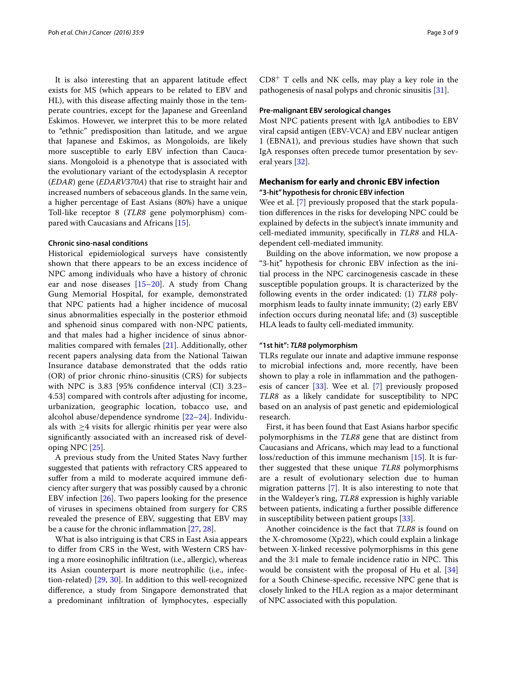It is also interesting that an apparent latitude effect exists for MS (which appears to be related to EBV and HL), with this disease affecting mainly those in the temperate countries, except for the Japanese and Greenland Eskimos. However, we interpret this to be more related to "ethnic" predisposition than latitude, and we argue that Japanese and Eskimos, as Mongoloids, are likely more susceptible to early EBV infection than Caucasians. Mongoloid is a phenotype that is associated with the evolutionary variant of the ectodysplasin A receptor (*EDAR*) gene (*EDARV370A*) that rise to straight hair and increased numbers of sebaceous glands. In the same vein, a higher percentage of East Asians (80%) have a unique Toll-like receptor 8 (*TLR8* gene polymorphism) compared with Caucasians and Africans [[15\]](#page-6-14).

#### **Chronic sino‑nasal conditions**

Historical epidemiological surveys have consistently shown that there appears to be an excess incidence of NPC among individuals who have a history of chronic ear and nose diseases [[15–](#page-6-14)[20\]](#page-6-15). A study from Chang Gung Memorial Hospital, for example, demonstrated that NPC patients had a higher incidence of mucosal sinus abnormalities especially in the posterior ethmoid and sphenoid sinus compared with non-NPC patients, and that males had a higher incidence of sinus abnormalities compared with females [\[21](#page-6-16)]. Additionally, other recent papers analysing data from the National Taiwan Insurance database demonstrated that the odds ratio (OR) of prior chronic rhino-sinusitis (CRS) for subjects with NPC is 3.83 [95% confidence interval (CI) 3.23– 4.53] compared with controls after adjusting for income, urbanization, geographic location, tobacco use, and alcohol abuse/dependence syndrome [\[22](#page-6-17)[–24](#page-6-18)]. Individuals with ≥4 visits for allergic rhinitis per year were also significantly associated with an increased risk of developing NPC [\[25](#page-6-19)].

A previous study from the United States Navy further suggested that patients with refractory CRS appeared to suffer from a mild to moderate acquired immune deficiency after surgery that was possibly caused by a chronic EBV infection [[26\]](#page-6-20). Two papers looking for the presence of viruses in specimens obtained from surgery for CRS revealed the presence of EBV, suggesting that EBV may be a cause for the chronic inflammation [\[27,](#page-6-21) [28](#page-6-22)].

What is also intriguing is that CRS in East Asia appears to differ from CRS in the West, with Western CRS having a more eosinophilic infiltration (i.e., allergic), whereas its Asian counterpart is more neutrophilic (i.e., infection-related) [\[29](#page-7-0), [30](#page-7-1)]. In addition to this well-recognized difference, a study from Singapore demonstrated that a predominant infiltration of lymphocytes, especially  $CD8<sup>+</sup>$  T cells and NK cells, may play a key role in the pathogenesis of nasal polyps and chronic sinusitis [\[31](#page-7-2)].

#### **Pre‑malignant EBV serological changes**

Most NPC patients present with IgA antibodies to EBV viral capsid antigen (EBV-VCA) and EBV nuclear antigen 1 (EBNA1), and previous studies have shown that such IgA responses often precede tumor presentation by several years [[32\]](#page-7-3).

## **Mechanism for early and chronic EBV infection "3‑hit" hypothesis for chronic EBV infection**

Wee et al. [[7\]](#page-6-6) previously proposed that the stark population differences in the risks for developing NPC could be explained by defects in the subject's innate immunity and cell-mediated immunity, specifically in *TLR8* and HLAdependent cell-mediated immunity.

Building on the above information, we now propose a "3-hit" hypothesis for chronic EBV infection as the initial process in the NPC carcinogenesis cascade in these susceptible population groups. It is characterized by the following events in the order indicated: (1) *TLR8* polymorphism leads to faulty innate immunity; (2) early EBV infection occurs during neonatal life; and (3) susceptible HLA leads to faulty cell-mediated immunity.

#### **"1st hit":** *TLR8* **polymorphism**

TLRs regulate our innate and adaptive immune response to microbial infections and, more recently, have been shown to play a role in inflammation and the pathogenesis of cancer [[33](#page-7-4)]. Wee et al. [\[7](#page-6-6)] previously proposed *TLR8* as a likely candidate for susceptibility to NPC based on an analysis of past genetic and epidemiological research.

First, it has been found that East Asians harbor specific polymorphisms in the *TLR8* gene that are distinct from Caucasians and Africans, which may lead to a functional loss/reduction of this immune mechanism [\[15\]](#page-6-14). It is further suggested that these unique *TLR8* polymorphisms are a result of evolutionary selection due to human migration patterns [[7\]](#page-6-6). It is also interesting to note that in the Waldeyer's ring, *TLR8* expression is highly variable between patients, indicating a further possible difference in susceptibility between patient groups [[33](#page-7-4)].

Another coincidence is the fact that *TLR8* is found on the X-chromosome (Xp22), which could explain a linkage between X-linked recessive polymorphisms in this gene and the 3:1 male to female incidence ratio in NPC. This would be consistent with the proposal of Hu et al. [[34](#page-7-5)] for a South Chinese-specific, recessive NPC gene that is closely linked to the HLA region as a major determinant of NPC associated with this population.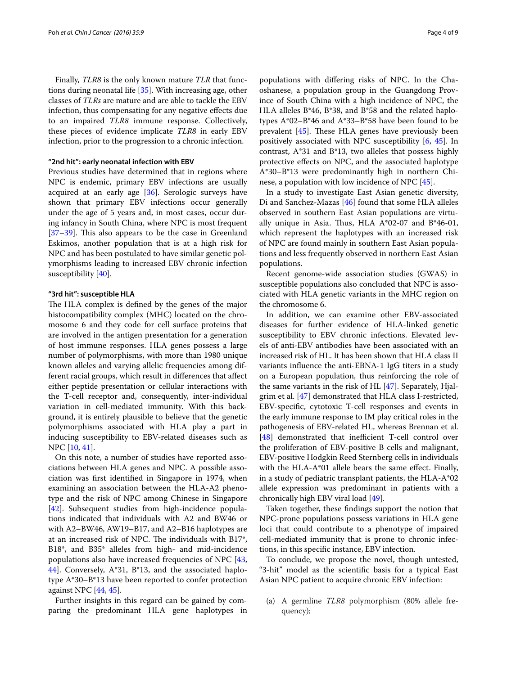Finally, *TLR8* is the only known mature *TLR* that functions during neonatal life [\[35\]](#page-7-6). With increasing age, other classes of *TLRs* are mature and are able to tackle the EBV infection, thus compensating for any negative effects due to an impaired *TLR8* immune response. Collectively, these pieces of evidence implicate *TLR8* in early EBV infection, prior to the progression to a chronic infection.

## **"2nd hit": early neonatal infection with EBV**

Previous studies have determined that in regions where NPC is endemic, primary EBV infections are usually acquired at an early age  $[36]$  $[36]$ . Serologic surveys have shown that primary EBV infections occur generally under the age of 5 years and, in most cases, occur during infancy in South China, where NPC is most frequent [[37–](#page-7-8)[39](#page-7-9)]. This also appears to be the case in Greenland Eskimos, another population that is at a high risk for NPC and has been postulated to have similar genetic polymorphisms leading to increased EBV chronic infection susceptibility [[40\]](#page-7-10).

#### **"3rd hit": susceptible HLA**

The HLA complex is defined by the genes of the major histocompatibility complex (MHC) located on the chromosome 6 and they code for cell surface proteins that are involved in the antigen presentation for a generation of host immune responses. HLA genes possess a large number of polymorphisms, with more than 1980 unique known alleles and varying allelic frequencies among different racial groups, which result in differences that affect either peptide presentation or cellular interactions with the T-cell receptor and, consequently, inter-individual variation in cell-mediated immunity. With this background, it is entirely plausible to believe that the genetic polymorphisms associated with HLA play a part in inducing susceptibility to EBV-related diseases such as NPC [\[10](#page-6-9), [41](#page-7-11)].

On this note, a number of studies have reported associations between HLA genes and NPC. A possible association was first identified in Singapore in 1974, when examining an association between the HLA-A2 phenotype and the risk of NPC among Chinese in Singapore [[42\]](#page-7-12). Subsequent studies from high-incidence populations indicated that individuals with A2 and BW46 or with A2–BW46, AW19–B17, and A2–B16 haplotypes are at an increased risk of NPC. The individuals with B17\*, B18\*, and B35\* alleles from high- and mid-incidence populations also have increased frequencies of NPC [\[43](#page-7-13), [44\]](#page-7-14). Conversely, A\*31, B\*13, and the associated haplotype A\*30–B\*13 have been reported to confer protection against NPC [\[44](#page-7-14), [45\]](#page-7-15).

Further insights in this regard can be gained by comparing the predominant HLA gene haplotypes in

populations with differing risks of NPC. In the Chaoshanese, a population group in the Guangdong Province of South China with a high incidence of NPC, the HLA alleles B\*46, B\*38, and B\*58 and the related haplotypes A\*02–B\*46 and A\*33–B\*58 have been found to be prevalent [\[45](#page-7-15)]. These HLA genes have previously been positively associated with NPC susceptibility [[6,](#page-6-5) [45\]](#page-7-15). In contrast, A\*31 and B\*13, two alleles that possess highly protective effects on NPC, and the associated haplotype A\*30–B\*13 were predominantly high in northern Chinese, a population with low incidence of NPC [\[45\]](#page-7-15).

In a study to investigate East Asian genetic diversity, Di and Sanchez-Mazas [[46\]](#page-7-16) found that some HLA alleles observed in southern East Asian populations are virtually unique in Asia. Thus, HLA A\*02-07 and B\*46-01, which represent the haplotypes with an increased risk of NPC are found mainly in southern East Asian populations and less frequently observed in northern East Asian populations.

Recent genome-wide association studies (GWAS) in susceptible populations also concluded that NPC is associated with HLA genetic variants in the MHC region on the chromosome 6.

In addition, we can examine other EBV-associated diseases for further evidence of HLA-linked genetic susceptibility to EBV chronic infections. Elevated levels of anti-EBV antibodies have been associated with an increased risk of HL. It has been shown that HLA class II variants influence the anti-EBNA-1 IgG titers in a study on a European population, thus reinforcing the role of the same variants in the risk of HL [[47](#page-7-17)]. Separately, Hjalgrim et al. [[47\]](#page-7-17) demonstrated that HLA class I-restricted, EBV-specific, cytotoxic T-cell responses and events in the early immune response to IM play critical roles in the pathogenesis of EBV-related HL, whereas Brennan et al. [[48\]](#page-7-18) demonstrated that inefficient T-cell control over the proliferation of EBV-positive B cells and malignant, EBV-positive Hodgkin Reed Sternberg cells in individuals with the HLA-A\*01 allele bears the same effect. Finally, in a study of pediatric transplant patients, the HLA-A\*02 allele expression was predominant in patients with a chronically high EBV viral load [[49\]](#page-7-19).

Taken together, these findings support the notion that NPC-prone populations possess variations in HLA gene loci that could contribute to a phenotype of impaired cell-mediated immunity that is prone to chronic infections, in this specific instance, EBV infection.

To conclude, we propose the novel, though untested, "3-hit" model as the scientific basis for a typical East Asian NPC patient to acquire chronic EBV infection:

(a) A germline *TLR8* polymorphism (80% allele frequency);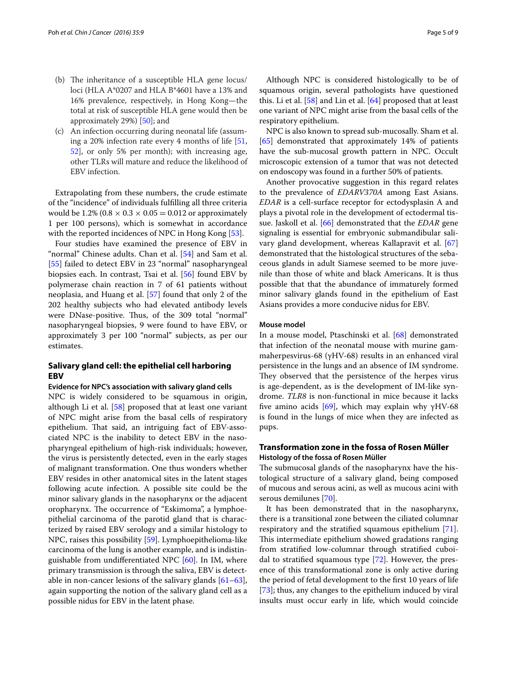- (b) The inheritance of a susceptible HLA gene locus/ loci (HLA A\*0207 and HLA B\*4601 have a 13% and 16% prevalence, respectively, in Hong Kong—the total at risk of susceptible HLA gene would then be approximately 29%) [\[50\]](#page-7-20); and
- (c) An infection occurring during neonatal life (assuming a 20% infection rate every 4 months of life [[51](#page-7-21), [52](#page-7-22)], or only 5% per month); with increasing age, other TLRs will mature and reduce the likelihood of EBV infection.

Extrapolating from these numbers, the crude estimate of the "incidence" of individuals fulfilling all three criteria would be 1.2% ( $0.8 \times 0.3 \times 0.05 = 0.012$  or approximately 1 per 100 persons), which is somewhat in accordance with the reported incidences of NPC in Hong Kong [[53](#page-7-23)].

Four studies have examined the presence of EBV in "normal" Chinese adults. Chan et al. [[54\]](#page-7-24) and Sam et al. [[55\]](#page-7-25) failed to detect EBV in 23 "normal" nasopharyngeal biopsies each. In contrast, Tsai et al. [[56](#page-7-26)] found EBV by polymerase chain reaction in 7 of 61 patients without neoplasia, and Huang et al. [\[57](#page-7-27)] found that only 2 of the 202 healthy subjects who had elevated antibody levels were DNase-positive. Thus, of the 309 total "normal" nasopharyngeal biopsies, 9 were found to have EBV, or approximately 3 per 100 "normal" subjects, as per our estimates.

## **Salivary gland cell: the epithelial cell harboring EBV**

#### **Evidence for NPC's association with salivary gland cells**

NPC is widely considered to be squamous in origin, although Li et al. [[58\]](#page-7-28) proposed that at least one variant of NPC might arise from the basal cells of respiratory epithelium. That said, an intriguing fact of EBV-associated NPC is the inability to detect EBV in the nasopharyngeal epithelium of high-risk individuals; however, the virus is persistently detected, even in the early stages of malignant transformation. One thus wonders whether EBV resides in other anatomical sites in the latent stages following acute infection. A possible site could be the minor salivary glands in the nasopharynx or the adjacent oropharynx. The occurrence of "Eskimoma", a lymphoepithelial carcinoma of the parotid gland that is characterized by raised EBV serology and a similar histology to NPC, raises this possibility [\[59](#page-7-29)]. Lymphoepithelioma-like carcinoma of the lung is another example, and is indistinguishable from undifferentiated NPC [\[60](#page-7-30)]. In IM, where primary transmission is through the saliva, EBV is detectable in non-cancer lesions of the salivary glands [[61](#page-7-31)[–63](#page-7-32)], again supporting the notion of the salivary gland cell as a possible nidus for EBV in the latent phase.

Although NPC is considered histologically to be of squamous origin, several pathologists have questioned this. Li et al.  $[58]$  $[58]$  and Lin et al.  $[64]$  $[64]$  proposed that at least one variant of NPC might arise from the basal cells of the respiratory epithelium.

NPC is also known to spread sub-mucosally. Sham et al. [[65\]](#page-7-34) demonstrated that approximately 14% of patients have the sub-mucosal growth pattern in NPC. Occult microscopic extension of a tumor that was not detected on endoscopy was found in a further 50% of patients.

Another provocative suggestion in this regard relates to the prevalence of *EDARV370A* among East Asians. *EDAR* is a cell-surface receptor for ectodysplasin A and plays a pivotal role in the development of ectodermal tissue. Jaskoll et al. [\[66](#page-7-35)] demonstrated that the *EDAR* gene signaling is essential for embryonic submandibular salivary gland development, whereas Kallapravit et al. [[67](#page-7-36)] demonstrated that the histological structures of the sebaceous glands in adult Siamese seemed to be more juvenile than those of white and black Americans. It is thus possible that that the abundance of immaturely formed minor salivary glands found in the epithelium of East Asians provides a more conducive nidus for EBV.

#### **Mouse model**

In a mouse model, Ptaschinski et al. [\[68\]](#page-7-37) demonstrated that infection of the neonatal mouse with murine gammaherpesvirus-68 (γHV-68) results in an enhanced viral persistence in the lungs and an absence of IM syndrome. They observed that the persistence of the herpes virus is age-dependent, as is the development of IM-like syndrome. *TLR8* is non-functional in mice because it lacks five amino acids  $[69]$  $[69]$ , which may explain why γHV-68 is found in the lungs of mice when they are infected as pups.

## **Transformation zone in the fossa of Rosen Müller Histology of the fossa of Rosen Müller**

The submucosal glands of the nasopharynx have the histological structure of a salivary gland, being composed of mucous and serous acini, as well as mucous acini with serous demilunes [\[70\]](#page-7-39).

It has been demonstrated that in the nasopharynx, there is a transitional zone between the ciliated columnar respiratory and the stratified squamous epithelium [\[71](#page-7-40)]. This intermediate epithelium showed gradations ranging from stratified low-columnar through stratified cuboidal to stratified squamous type [[72\]](#page-7-41). However, the presence of this transformational zone is only active during the period of fetal development to the first 10 years of life [[73\]](#page-7-42); thus, any changes to the epithelium induced by viral insults must occur early in life, which would coincide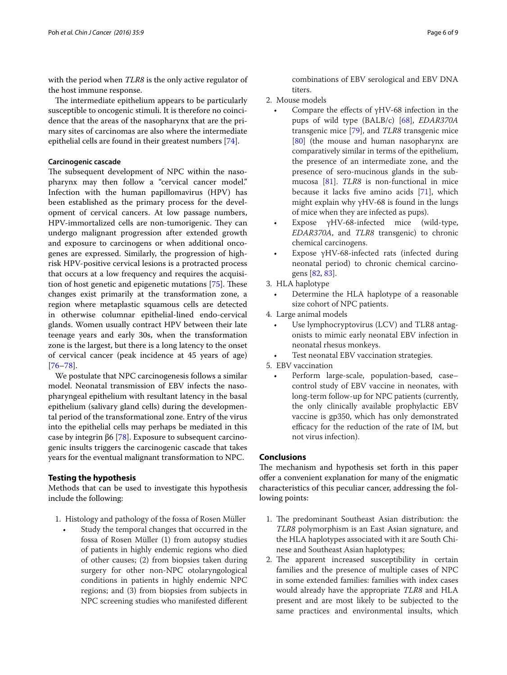with the period when *TLR8* is the only active regulator of the host immune response.

The intermediate epithelium appears to be particularly susceptible to oncogenic stimuli. It is therefore no coincidence that the areas of the nasopharynx that are the primary sites of carcinomas are also where the intermediate epithelial cells are found in their greatest numbers [\[74](#page-7-43)].

## **Carcinogenic cascade**

The subsequent development of NPC within the nasopharynx may then follow a "cervical cancer model." Infection with the human papillomavirus (HPV) has been established as the primary process for the development of cervical cancers. At low passage numbers, HPV-immortalized cells are non-tumorigenic. They can undergo malignant progression after extended growth and exposure to carcinogens or when additional oncogenes are expressed. Similarly, the progression of highrisk HPV-positive cervical lesions is a protracted process that occurs at a low frequency and requires the acquisition of host genetic and epigenetic mutations [[75\]](#page-7-44). These changes exist primarily at the transformation zone, a region where metaplastic squamous cells are detected in otherwise columnar epithelial-lined endo-cervical glands. Women usually contract HPV between their late teenage years and early 30s, when the transformation zone is the largest, but there is a long latency to the onset of cervical cancer (peak incidence at 45 years of age) [[76–](#page-7-45)[78](#page-8-0)].

We postulate that NPC carcinogenesis follows a similar model. Neonatal transmission of EBV infects the nasopharyngeal epithelium with resultant latency in the basal epithelium (salivary gland cells) during the developmental period of the transformational zone. Entry of the virus into the epithelial cells may perhaps be mediated in this case by integrin β6 [[78\]](#page-8-0). Exposure to subsequent carcinogenic insults triggers the carcinogenic cascade that takes years for the eventual malignant transformation to NPC.

## **Testing the hypothesis**

Methods that can be used to investigate this hypothesis include the following:

- 1. Histology and pathology of the fossa of Rosen Müller
	- Study the temporal changes that occurred in the fossa of Rosen Müller (1) from autopsy studies of patients in highly endemic regions who died of other causes; (2) from biopsies taken during surgery for other non-NPC otolaryngological conditions in patients in highly endemic NPC regions; and (3) from biopsies from subjects in NPC screening studies who manifested different

combinations of EBV serological and EBV DNA titers.

- 2. Mouse models
	- Compare the effects of γHV-68 infection in the pups of wild type (BALB/c) [[68\]](#page-7-37), *EDAR370A* transgenic mice [\[79\]](#page-8-1), and *TLR8* transgenic mice [\[80](#page-8-2)] (the mouse and human nasopharynx are comparatively similar in terms of the epithelium, the presence of an intermediate zone, and the presence of sero-mucinous glands in the submucosa [\[81\]](#page-8-3). *TLR8* is non-functional in mice because it lacks five amino acids [\[71\]](#page-7-40), which might explain why γHV-68 is found in the lungs of mice when they are infected as pups).
	- Expose γHV-68-infected mice (wild-type, *EDAR370A*, and *TLR8* transgenic) to chronic chemical carcinogens.
	- Expose γHV-68-infected rats (infected during neonatal period) to chronic chemical carcinogens [[82](#page-8-4), [83\]](#page-8-5).
- 3. HLA haplotype
	- Determine the HLA haplotype of a reasonable size cohort of NPC patients.
- 4. Large animal models
	- Use lymphocryptovirus (LCV) and TLR8 antagonists to mimic early neonatal EBV infection in neonatal rhesus monkeys.
	- Test neonatal EBV vaccination strategies.
- 5. EBV vaccination
	- Perform large-scale, population-based, case– control study of EBV vaccine in neonates, with long-term follow-up for NPC patients (currently, the only clinically available prophylactic EBV vaccine is gp350, which has only demonstrated efficacy for the reduction of the rate of IM, but not virus infection).

## **Conclusions**

The mechanism and hypothesis set forth in this paper offer a convenient explanation for many of the enigmatic characteristics of this peculiar cancer, addressing the following points:

- 1. The predominant Southeast Asian distribution: the *TLR8* polymorphism is an East Asian signature, and the HLA haplotypes associated with it are South Chinese and Southeast Asian haplotypes;
- 2. The apparent increased susceptibility in certain families and the presence of multiple cases of NPC in some extended families: families with index cases would already have the appropriate *TLR8* and HLA present and are most likely to be subjected to the same practices and environmental insults, which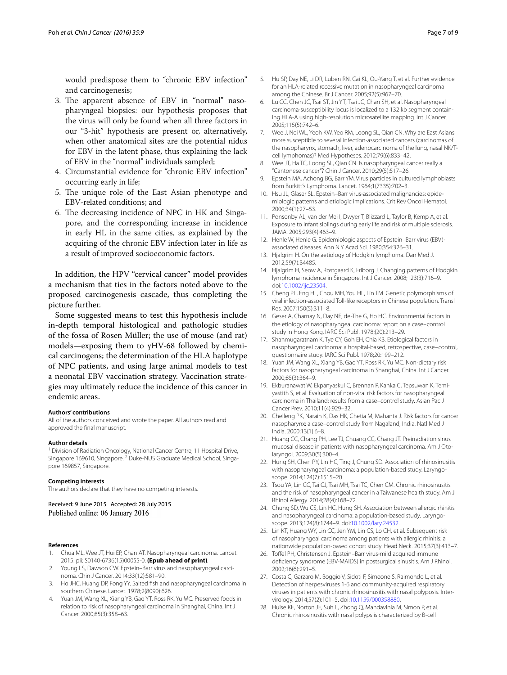would predispose them to "chronic EBV infection" and carcinogenesis;

- 3. The apparent absence of EBV in "normal" nasopharyngeal biopsies: our hypothesis proposes that the virus will only be found when all three factors in our "3-hit" hypothesis are present or, alternatively, when other anatomical sites are the potential nidus for EBV in the latent phase, thus explaining the lack of EBV in the "normal" individuals sampled;
- 4. Circumstantial evidence for "chronic EBV infection" occurring early in life;
- 5. The unique role of the East Asian phenotype and EBV-related conditions; and
- 6. The decreasing incidence of NPC in HK and Singapore, and the corresponding increase in incidence in early HL in the same cities, as explained by the acquiring of the chronic EBV infection later in life as a result of improved socioeconomic factors.

In addition, the HPV "cervical cancer" model provides a mechanism that ties in the factors noted above to the proposed carcinogenesis cascade, thus completing the picture further.

Some suggested means to test this hypothesis include in-depth temporal histological and pathologic studies of the fossa of Rosen Müller; the use of mouse (and rat) models—exposing them to γHV-68 followed by chemical carcinogens; the determination of the HLA haplotype of NPC patients, and using large animal models to test a neonatal EBV vaccination strategy. Vaccination strategies may ultimately reduce the incidence of this cancer in endemic areas.

#### **Authors' contributions**

All of the authors conceived and wrote the paper. All authors read and approved the final manuscript.

#### **Author details**

<sup>1</sup> Division of Radiation Oncology, National Cancer Centre, 11 Hospital Drive, Singapore 169610, Singapore.<sup>2</sup> Duke-NUS Graduate Medical School, Singapore 169857, Singapore.

#### **Competing interests**

The authors declare that they have no competing interests.

Received: 9 June 2015 Accepted: 28 July 2015 Published online: 06 January 2016

#### **References**

- <span id="page-6-0"></span>Chua ML, Wee JT, Hui EP, Chan AT. Nasopharyngeal carcinoma. Lancet. 2015. pii: S0140-6736(15)00055-0. **(Epub ahead of print)**.
- <span id="page-6-1"></span>2. Young LS, Dawson CW. Epstein–Barr virus and nasopharyngeal carcinoma. Chin J Cancer. 2014;33(12):581–90.
- <span id="page-6-2"></span>3. Ho JHC, Huang DP, Fong YY. Salted fish and nasopharyngeal carcinoma in southern Chinese. Lancet. 1978;2(8090):626.
- <span id="page-6-3"></span>Yuan JM, Wang XL, Xiang YB, Gao YT, Ross RK, Yu MC. Preserved foods in relation to risk of nasopharyngeal carcinoma in Shanghai, China. Int J Cancer. 2000;85(3):358–63.
- <span id="page-6-4"></span>5. Hu SP, Day NE, Li DR, Luben RN, Cai KL, Ou-Yang T, et al. Further evidence for an HLA-related recessive mutation in nasopharyngeal carcinoma among the Chinese. Br J Cancer. 2005;92(5):967–70.
- <span id="page-6-5"></span>6. Lu CC, Chen JC, Tsai ST, Jin YT, Tsai JC, Chan SH, et al. Nasopharyngeal carcinoma-susceptibility locus is localized to a 132 kb segment containing HLA-A using high-resolution microsatellite mapping. Int J Cancer. 2005;115(5):742–6.
- <span id="page-6-6"></span>7. Wee J, Nei WL, Yeoh KW, Yeo RM, Loong SL, Qian CN. Why are East Asians more susceptible to several infection-associated cancers (carcinomas of the nasopharynx, stomach, liver, adenocarcinoma of the lung, nasal NK/Tcell lymphomas)? Med Hypotheses. 2012;79(6):833–42.
- <span id="page-6-7"></span>8. Wee JT, Ha TC, Loong SL, Qian CN. Is nasopharyngeal cancer really a "Cantonese cancer"? Chin J Cancer. 2010;29(5):517–26.
- <span id="page-6-8"></span>9. Epstein MA, Achong BG, Barr YM. Virus particles in cultured lymphoblasts from Burkitt's Lymphoma. Lancet. 1964;1(7335):702–3.
- <span id="page-6-9"></span>10. Hsu JL, Glaser SL. Epstein–Barr virus-associated malignancies: epidemiologic patterns and etiologic implications. Crit Rev Oncol Hematol. 2000;34(1):27–53.
- <span id="page-6-10"></span>11. Ponsonby AL, van der Mei I, Dwyer T, Blizzard L, Taylor B, Kemp A, et al. Exposure to infant siblings during early life and risk of multiple sclerosis. JAMA. 2005;293(4):463–9.
- <span id="page-6-11"></span>12. Henle W, Henle G. Epidemiologic aspects of Epstein–Barr virus (EBV) associated diseases. Ann N Y Acad Sci. 1980;354:326–31.
- <span id="page-6-12"></span>13. Hjalgrim H. On the aetiology of Hodgkin lymphoma. Dan Med J. 2012;59(7):B4485.
- <span id="page-6-13"></span>14. Hjalgrim H, Seow A, Rostgaard K, Friborg J. Changing patterns of Hodgkin lymphoma incidence in Singapore. Int J Cancer. 2008;123(3):716–9. doi:[10.1002/ijc.23504.](http://dx.doi.org/10.1002/ijc.23504)
- <span id="page-6-14"></span>15. Cheng PL, Eng HL, Chou MH, You HL, Lin TM. Genetic polymorphisms of viral infection-associated Toll-like receptors in Chinese population. Transl Res. 2007;150(5):311–8.
- 16. Geser A, Charnay N, Day NE, de-The G, Ho HC. Environmental factors in the etiology of nasopharyngeal carcinoma: report on a case–control study in Hong Kong. IARC Sci Publ. 1978;(20):213–29.
- 17. Shanmugaratnam K, Tye CY, Goh EH, Chia KB. Etiological factors in nasopharyngeal carcinoma: a hospital-based, retrospective, case–control, questionnaire study. IARC Sci Publ. 1978;20:199–212.
- 18. Yuan JM, Wang XL, Xiang YB, Gao YT, Ross RK, Yu MC. Non-dietary risk factors for nasopharyngeal carcinoma in Shanghai, China. Int J Cancer. 2000;85(3):364–9.
- 19. Ekburanawat W, Ekpanyaskul C, Brennan P, Kanka C, Tepsuwan K, Temiyastith S, et al. Evaluation of non-viral risk factors for nasopharyngeal carcinoma in Thailand: results from a case–control study. Asian Pac J Cancer Prev. 2010;11(4):929–32.
- <span id="page-6-15"></span>20. Chelleng PK, Narain K, Das HK, Chetia M, Mahanta J. Risk factors for cancer nasopharynx: a case–control study from Nagaland, India. Natl Med J India. 2000;13(1):6–8.
- <span id="page-6-16"></span>21. Huang CC, Chang PH, Lee TJ, Chuang CC, Chang JT. Preirradiation sinus mucosal disease in patients with nasopharyngeal carcinoma. Am J Otolaryngol. 2009;30(5):300–4.
- <span id="page-6-17"></span>22. Hung SH, Chen PY, Lin HC, Ting J, Chung SD. Association of rhinosinusitis with nasopharyngeal carcinoma: a population-based study. Laryngoscope. 2014;124(7):1515–20.
- 23. Tsou YA, Lin CC, Tai CJ, Tsai MH, Tsai TC, Chen CM. Chronic rhinosinusitis and the risk of nasopharyngeal cancer in a Taiwanese health study. Am J Rhinol Allergy. 2014;28(4):168–72.
- <span id="page-6-18"></span>24. Chung SD, Wu CS, Lin HC, Hung SH. Association between allergic rhinitis and nasopharyngeal carcinoma: a population-based study. Laryngoscope. 2013;124(8):1744–9. doi[:10.1002/lary.24532](http://dx.doi.org/10.1002/lary.24532).
- <span id="page-6-19"></span>25. Lin KT, Huang WY, Lin CC, Jen YM, Lin CS, Lo CH, et al. Subsequent risk of nasopharyngeal carcinoma among patients with allergic rhinitis: a nationwide population-based cohort study. Head Neck. 2015;37(3):413–7.
- <span id="page-6-20"></span>26. Toffel PH, Christensen J. Epstein–Barr virus-mild acquired immune deficiency syndrome (EBV-MAIDS) in postsurgical sinusitis. Am J Rhinol. 2002;16(6):291–5.
- <span id="page-6-21"></span>27. Costa C, Garzaro M, Boggio V, Sidoti F, Simeone S, Raimondo L, et al. Detection of herpesviruses 1-6 and community-acquired respiratory viruses in patients with chronic rhinosinusitis with nasal polyposis. Intervirology. 2014;57(2):101–5. doi:[10.1159/000358880.](http://dx.doi.org/10.1159/000358880)
- <span id="page-6-22"></span>28. Hulse KE, Norton JE, Suh L, Zhong Q, Mahdavinia M, Simon P, et al. Chronic rhinosinusitis with nasal polyps is characterized by B-cell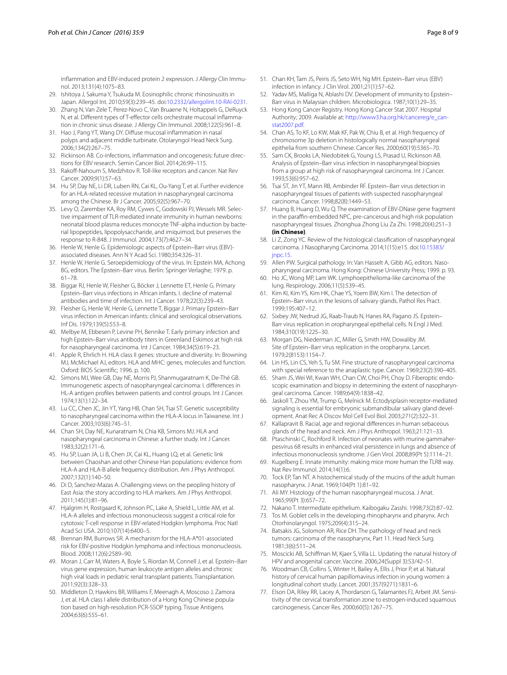inflammation and EBV-induced protein 2 expression. J Allergy Clin Immunol. 2013;131(4):1075–83.

- <span id="page-7-0"></span>29. Ishitoya J, Sakuma Y, Tsukuda M. Eosinophilic chronic rhinosinusitis in Japan. Allergol Int. 2010;59(3):239–45. doi:[10.2332/allergolint.10-RAI-0231](http://dx.doi.org/10.2332/allergolint.10-RAI-0231).
- <span id="page-7-1"></span>30. Zhang N, Van Zele T, Perez-Novo C, Van Bruaene N, Holtappels G, DeRuyck N, et al. Different types of T-effector cells orchestrate mucosal inflammation in chronic sinus disease. J Allergy Clin Immunol. 2008;122(5):961–8.
- <span id="page-7-2"></span>31. Hao J, Pang YT, Wang DY. Diffuse mucosal inflammation in nasal polyps and adjacent middle turbinate. Otolaryngol Head Neck Surg. 2006;134(2):267–75.
- <span id="page-7-3"></span>32. Rickinson AB. Co-infections, inflammation and oncogenesis: future directions for EBV research. Semin Cancer Biol. 2014;26:99–115.
- <span id="page-7-4"></span>33. Rakoff-Nahoum S, Medzhitov R. Toll-like receptors and cancer. Nat Rev Cancer. 2009;9(1):57–63.
- <span id="page-7-5"></span>34. Hu SP, Day NE, Li DR, Luben RN, Cai KL, Ou-Yang T, et al. Further evidence for an HLA-related recessive mutation in nasopharyngeal carcinoma among the Chinese. Br J Cancer. 2005;92(5):967–70.
- <span id="page-7-6"></span>35. Levy O, Zarember KA, Roy RM, Cywes C, Godowski PJ, Wessels MR. Selective impairment of TLR-mediated innate immunity in human newborns: neonatal blood plasma reduces monocyte TNF-alpha induction by bacterial lipopeptides, lipopolysaccharide, and imiquimod, but preserves the response to R-848. J Immunol. 2004;173(7):4627–34.
- <span id="page-7-7"></span>36. Henle W, Henle G. Epidemiologic aspects of Epstein–Barr virus (EBV) associated diseases. Ann N Y Acad Sci. 1980;354:326–31.
- <span id="page-7-8"></span>37. Henle W, Henle G. Seroepidemiology of the virus. In: Epstein MA, Achong BG, editors. The Epstein–Barr virus. Berlin: Springer Verlaghe; 1979. p. 61–78.
- 38. Biggar RJ, Henle W, Fleisher G, Böcker J, Lennette ET, Henle G. Primary Epstein–Barr virus infections in African infants. I. decline of maternal antibodies and time of infection. Int J Cancer. 1978;22(3):239–43.
- <span id="page-7-9"></span>39. Fleisher G, Henle W, Henle G, Lennette T, Biggar J. Primary Epstein–Barr virus infection in American infants: clinical and serological observations. Inf Dis. 1979;139(5):553–8.
- <span id="page-7-10"></span>40. Melbye M, Ebbesen P, Levine PH, Bennike T. Early primary infection and high Epstein–Barr virus antibody titers in Greenland Eskimos at high risk for nasopharyngeal carcinoma. Int J Cancer. 1984;34(5):619–23.
- <span id="page-7-11"></span>41. Apple R, Ehrlich H. HLA class II genes: structure and diversity. In: Browning MJ, McMichael AJ, editors. HLA and MHC: genes, molecules and function. Oxford: BIOS Scientific; 1996. p. 100.
- <span id="page-7-12"></span>42. Simons MJ, Wee GB, Day NE, Morris PJ, Shanmugaratnam K, De-Thé GB. Immunogenetic aspects of nasopharyngeal carcinoma: I. differences in HL-A antigen profiles between patients and control groups. Int J Cancer. 1974;13(1):122–34.
- <span id="page-7-13"></span>43. Lu CC, Chen JC, Jin YT, Yang HB, Chan SH, Tsai ST. Genetic susceptibility to nasopharyngeal carcinoma within the HLA-A locus in Taiwanese. Int J Cancer. 2003;103(6):745–51.
- <span id="page-7-14"></span>44. Chan SH, Day NE, Kunaratnam N, Chia KB, Simons MJ. HLA and nasopharyngeal carcinoma in Chinese: a further study. Int J Cancer. 1983;32(2):171–6.
- <span id="page-7-15"></span>45. Hu SP, Luan JA, Li B, Chen JX, Cai KL, Huang LQ, et al. Genetic link between Chaoshan and other Chinese Han populations: evidence from HLA-A and HLA-B allele frequency distribution. Am J Phys Anthropol. 2007;132(1):140–50.
- <span id="page-7-16"></span>46. Di D, Sanchez-Mazas A. Challenging views on the peopling history of East Asia: the story according to HLA markers. Am J Phys Anthropol. 2011;145(1):81–96.
- <span id="page-7-17"></span>47. Hjalgrim H, Rostgaard K, Johnson PC, Lake A, Shield L, Little AM, et al. HLA-A alleles and infectious mononucleosis suggest a critical role for cytotoxic T-cell response in EBV-related Hodgkin lymphoma. Proc Natl Acad Sci USA. 2010;107(14):6400–5.
- <span id="page-7-18"></span>48. Brennan RM, Burrows SR. A mechanism for the HLA-A\*01-associated risk for EBV-positive Hodgkin lymphoma and infectious mononucleosis. Blood. 2008;112(6):2589–90.
- <span id="page-7-19"></span>49. Moran J, Carr M, Waters A, Boyle S, Riordan M, Connell J, et al. Epstein–Barr virus gene expression, human leukocyte antigen alleles and chronic high viral loads in pediatric renal transplant patients. Transplantation. 2011;92(3):328–33.
- <span id="page-7-20"></span>50. Middleton D, Hawkins BR, Williams F, Meenagh A, Moscoso J, Zamora J, et al. HLA class I allele distribution of a Hong Kong Chinese population based on high-resolution PCR-SSOP typing. Tissue Antigens. 2004;63(6):555–61.
- <span id="page-7-21"></span>51. Chan KH, Tam JS, Peiris JS, Seto WH, Ng MH. Epstein–Barr virus (EBV) infection in infancy. J Clin Virol. 2001;21(1):57–62.
- <span id="page-7-22"></span>52. Yadav MS, Malliga N, Ablashi DV. Development of immunity to Epstein– Barr virus in Malaysian children. Microbiologica. 1987;10(1):29–35.
- <span id="page-7-23"></span>53. Hong Kong Cancer Registry. Hong Kong Cancer Stat 2007. Hospital Authority; 2009. Available at: [http://www3.ha.org.hk/cancereg/e\\_can](http://www3.ha.org.hk/cancereg/e_canstat2007.pdf)[stat2007.pdf](http://www3.ha.org.hk/cancereg/e_canstat2007.pdf).
- <span id="page-7-24"></span>54. Chan AS, To KF, Lo KW, Mak KF, Pak W, Chiu B, et al. High frequency of chromosome 3p deletion in histologically normal nasopharyngeal epithelia from southern Chinese. Cancer Res. 2000;60(19):5365–70.
- <span id="page-7-25"></span>55. Sam CK, Brooks LA, Niedobitek G, Young LS, Prasad U, Rickinson AB. Analysis of Epstein–Barr virus infection in nasopharyngeal biopsies from a group at high risk of nasopharyngeal carcinoma. Int J Cancer. 1993;53(6):957–62.
- <span id="page-7-26"></span>56. Tsai ST, Jin YT, Mann RB, Ambinder RF. Epstein–Barr virus detection in nasopharyngeal tissues of patients with suspected nasopharyngeal carcinoma. Cancer. 1998;82(8):1449–53.
- <span id="page-7-27"></span>57. Huang B, Huang D, Wu Q. The examination of EBV-DNase gene fragment in the paraffin-embedded NPC, pre-cancerous and high risk population nasopharyngeal tissues. Zhonghua Zhong Liu Za Zhi. 1998;20(4):251–3 **(in Chinese)**.
- <span id="page-7-28"></span>58. Li Z, Zong YC. Review of the histological classification of nasopharyngeal carcinoma. J Nasopharyng Carcinoma. 2014;1(15):e15. doi:[10.15383/](http://dx.doi.org/10.15383/jnpc.15) inpc.15
- <span id="page-7-29"></span>59. Allen PW. Surgical pathology. In: Van Hasselt A, Gibb AG, editors. Nasopharyngeal carcinoma. Hong Kong: Chinese University Press; 1999. p. 93.
- <span id="page-7-30"></span>60. Ho JC, Wong MP, Lam WK. Lymphoepithelioma-like carcinoma of the lung. Respirology. 2006;11(5):539–45.
- <span id="page-7-31"></span>61. Kim KI, Kim YS, Kim HK, Chae YS, Yoem BW, Kim I. The detection of Epstein–Barr virus in the lesions of salivary glands. Pathol Res Pract. 1999;195:407–12.
- 62. Sixbey JW, Nedrud JG, Raab-Traub N, Hanes RA, Pagano JS. Epstein– Barr virus replication in oropharyngeal epithelial cells. N Engl J Med. 1984;310(19):1225–30.
- <span id="page-7-32"></span>63. Morgan DG, Niederman JC, Miller G, Smith HW, Dowaliby JM. Site of Epstein–Barr virus replication in the oropharynx. Lancet. 1979;2(8153):1154–7.
- <span id="page-7-33"></span>64. Lin HS, Lin CS, Yeh S, Tu SM. Fine structure of nasopharyngeal carcinoma with special reference to the anaplastic type. Cancer. 1969;23(2):390–405.
- <span id="page-7-34"></span>65. Sham JS, Wei WI, Kwan WH, Chan CW, Choi PH, Choy D. Fiberoptic endoscopic examination and biopsy in determining the extent of nasopharyngeal carcinoma. Cancer. 1989;64(9):1838–42.
- <span id="page-7-35"></span>66. Jaskoll T, Zhou YM, Trump G, Melnick M. Ectodysplasin receptor-mediated signaling is essential for embryonic submandibular salivary gland development. Anat Rec A Discov Mol Cell Evol Biol. 2003;271(2):322–31.
- <span id="page-7-36"></span>67. Kallapravit B. Racial, age and regional differences in human sebaceous glands of the head and neck. Am J Phys Anthropol. 1963;21:121–33.
- <span id="page-7-37"></span>68. Ptaschinski C, Rochford R. Infection of neonates with murine gammaherpesvirus 68 results in enhanced viral persistence in lungs and absence of infectious mononucleosis syndrome. J Gen Virol. 2008;89(Pt 5):1114–21.
- <span id="page-7-38"></span>69. Kugelberg E. Innate immunity: making mice more human the TLR8 way. Nat Rev Immunol. 2014;14(1):6.
- <span id="page-7-39"></span>70. Tock EP, Tan NT. A histochemical study of the mucins of the adult human nasopharynx. J Anat. 1969;104(Pt 1):81–92.
- <span id="page-7-40"></span>71. Ali MY. Histology of the human nasopharyngeal mucosa. J Anat. 1965;99(Pt 3):657–72.
- <span id="page-7-41"></span>72. Nakano T. Intermediate epithelium. Kaibogaku Zasshi. 1998;73(2):87–92.
- <span id="page-7-42"></span>73. Tos M. Goblet cells in the developing rhinopharynx and pharynx. Arch Otorhinolaryngol. 1975;209(4):315–24.
- <span id="page-7-43"></span>74. Batsakis JG, Solomon AR, Rice DH. The pathology of head and neck tumors: carcinoma of the nasopharynx, Part 11. Head Neck Surg. 1981;3(6):511–24.
- <span id="page-7-44"></span>75. Moscicki AB, Schiffman M, Kjaer S, Villa LL. Updating the natural history of HPV and anogenital cancer. Vaccine. 2006;24(Suppl 3):S3/42–51.
- <span id="page-7-45"></span>76. Woodman CB, Collins S, Winter H, Bailey A, Ellis J, Prior P, et al. Natural history of cervical human papillomavirus infection in young women: a longitudinal cohort study. Lancet. 2001;357(9271):1831–6.
- 77. Elson DA, Riley RR, Lacey A, Thordarson G, Talamantes FJ, Arbeit JM. Sensitivity of the cervical transformation zone to estrogen-induced squamous carcinogenesis. Cancer Res. 2000;60(5):1267–75.